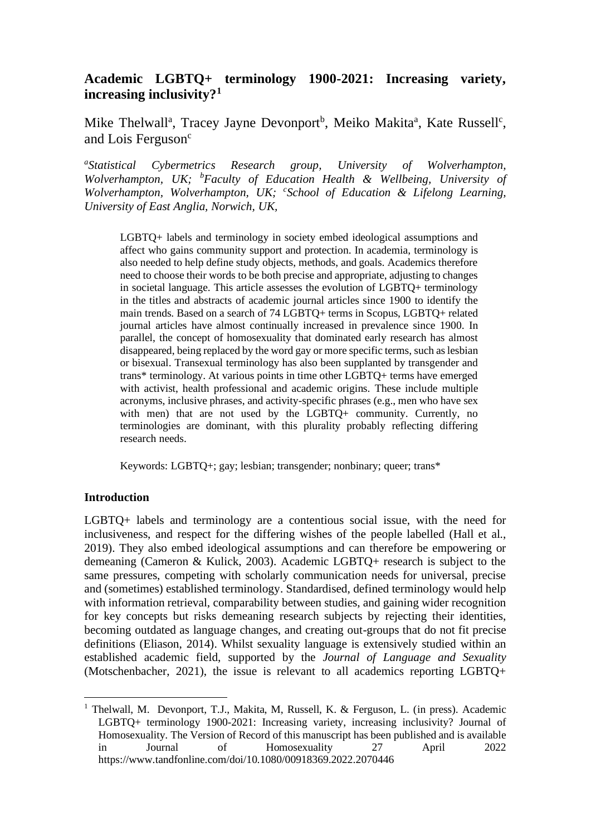# **Academic LGBTQ+ terminology 1900-2021: Increasing variety, increasing inclusivity?<sup>1</sup>**

Mike Thelwall<sup>a</sup>, Tracey Jayne Devonport<sup>b</sup>, Meiko Makita<sup>a</sup>, Kate Russell<sup>c</sup>, and Lois Ferguson<sup>c</sup>

*a Statistical Cybermetrics Research group, University of Wolverhampton, Wolverhampton, UK; <sup>b</sup>Faculty of Education Health & Wellbeing, University of Wolverhampton, Wolverhampton, UK; <sup>c</sup> School of Education & Lifelong Learning, University of East Anglia, Norwich, UK,*

LGBTQ+ labels and terminology in society embed ideological assumptions and affect who gains community support and protection. In academia, terminology is also needed to help define study objects, methods, and goals. Academics therefore need to choose their words to be both precise and appropriate, adjusting to changes in societal language. This article assesses the evolution of LGBTQ+ terminology in the titles and abstracts of academic journal articles since 1900 to identify the main trends. Based on a search of 74 LGBTQ+ terms in Scopus, LGBTQ+ related journal articles have almost continually increased in prevalence since 1900. In parallel, the concept of homosexuality that dominated early research has almost disappeared, being replaced by the word gay or more specific terms, such as lesbian or bisexual. Transexual terminology has also been supplanted by transgender and trans\* terminology. At various points in time other LGBTQ+ terms have emerged with activist, health professional and academic origins. These include multiple acronyms, inclusive phrases, and activity-specific phrases (e.g., men who have sex with men) that are not used by the LGBTQ+ community. Currently, no terminologies are dominant, with this plurality probably reflecting differing research needs.

Keywords: LGBTQ+; gay; lesbian; transgender; nonbinary; queer; trans\*

## **Introduction**

LGBTQ+ labels and terminology are a contentious social issue, with the need for inclusiveness, and respect for the differing wishes of the people labelled (Hall et al., 2019). They also embed ideological assumptions and can therefore be empowering or demeaning (Cameron & Kulick, 2003). Academic LGBTQ+ research is subject to the same pressures, competing with scholarly communication needs for universal, precise and (sometimes) established terminology. Standardised, defined terminology would help with information retrieval, comparability between studies, and gaining wider recognition for key concepts but risks demeaning research subjects by rejecting their identities, becoming outdated as language changes, and creating out-groups that do not fit precise definitions (Eliason, 2014). Whilst sexuality language is extensively studied within an established academic field, supported by the *Journal of Language and Sexuality*  (Motschenbacher, 2021), the issue is relevant to all academics reporting LGBTQ+

<sup>&</sup>lt;sup>1</sup> Thelwall, M. Devonport, T.J., Makita, M, Russell, K. & Ferguson, L. (in press). Academic LGBTQ+ terminology 1900-2021: Increasing variety, increasing inclusivity? Journal of Homosexuality. The Version of Record of this manuscript has been published and is available in Journal of Homosexuality 27 April 2022 https://www.tandfonline.com/doi/10.1080/00918369.2022.2070446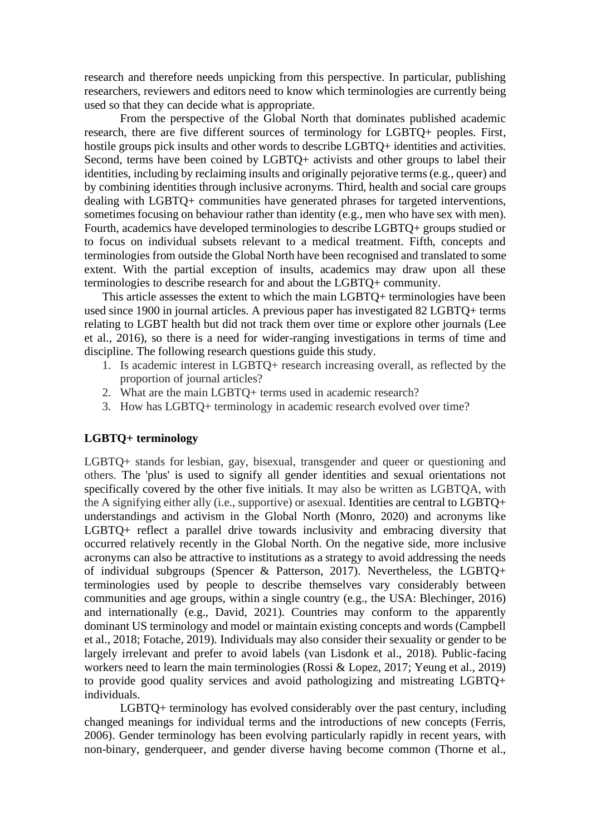research and therefore needs unpicking from this perspective. In particular, publishing researchers, reviewers and editors need to know which terminologies are currently being used so that they can decide what is appropriate.

From the perspective of the Global North that dominates published academic research, there are five different sources of terminology for LGBTQ+ peoples. First, hostile groups pick insults and other words to describe LGBTQ+ identities and activities. Second, terms have been coined by LGBTQ+ activists and other groups to label their identities, including by reclaiming insults and originally pejorative terms (e.g., queer) and by combining identities through inclusive acronyms. Third, health and social care groups dealing with LGBTQ+ communities have generated phrases for targeted interventions, sometimes focusing on behaviour rather than identity (e.g., men who have sex with men). Fourth, academics have developed terminologies to describe LGBTQ+ groups studied or to focus on individual subsets relevant to a medical treatment. Fifth, concepts and terminologies from outside the Global North have been recognised and translated to some extent. With the partial exception of insults, academics may draw upon all these terminologies to describe research for and about the LGBTQ+ community.

This article assesses the extent to which the main LGBTQ+ terminologies have been used since 1900 in journal articles. A previous paper has investigated 82 LGBTQ+ terms relating to LGBT health but did not track them over time or explore other journals (Lee et al., 2016), so there is a need for wider-ranging investigations in terms of time and discipline. The following research questions guide this study.

- 1. Is academic interest in LGBTQ+ research increasing overall, as reflected by the proportion of journal articles?
- 2. What are the main LGBTQ+ terms used in academic research?
- 3. How has LGBTQ+ terminology in academic research evolved over time?

## **LGBTQ+ terminology**

LGBTQ+ stands for lesbian, gay, bisexual, transgender and queer or questioning and others. The 'plus' is used to signify all gender identities and sexual orientations not specifically covered by the other five initials. It may also be written as LGBTQA, with the A signifying either ally (i.e., supportive) or asexual. Identities are central to LGBTQ+ understandings and activism in the Global North (Monro, 2020) and acronyms like LGBTQ+ reflect a parallel drive towards inclusivity and embracing diversity that occurred relatively recently in the Global North. On the negative side, more inclusive acronyms can also be attractive to institutions as a strategy to avoid addressing the needs of individual subgroups (Spencer & Patterson, 2017). Nevertheless, the LGBTQ+ terminologies used by people to describe themselves vary considerably between communities and age groups, within a single country (e.g., the USA: Blechinger, 2016) and internationally (e.g., David, 2021). Countries may conform to the apparently dominant US terminology and model or maintain existing concepts and words (Campbell et al., 2018; Fotache, 2019). Individuals may also consider their sexuality or gender to be largely irrelevant and prefer to avoid labels (van Lisdonk et al., 2018). Public-facing workers need to learn the main terminologies (Rossi & Lopez, 2017; Yeung et al., 2019) to provide good quality services and avoid pathologizing and mistreating LGBTQ+ individuals.

LGBTQ+ terminology has evolved considerably over the past century, including changed meanings for individual terms and the introductions of new concepts (Ferris, 2006). Gender terminology has been evolving particularly rapidly in recent years, with non-binary, genderqueer, and gender diverse having become common (Thorne et al.,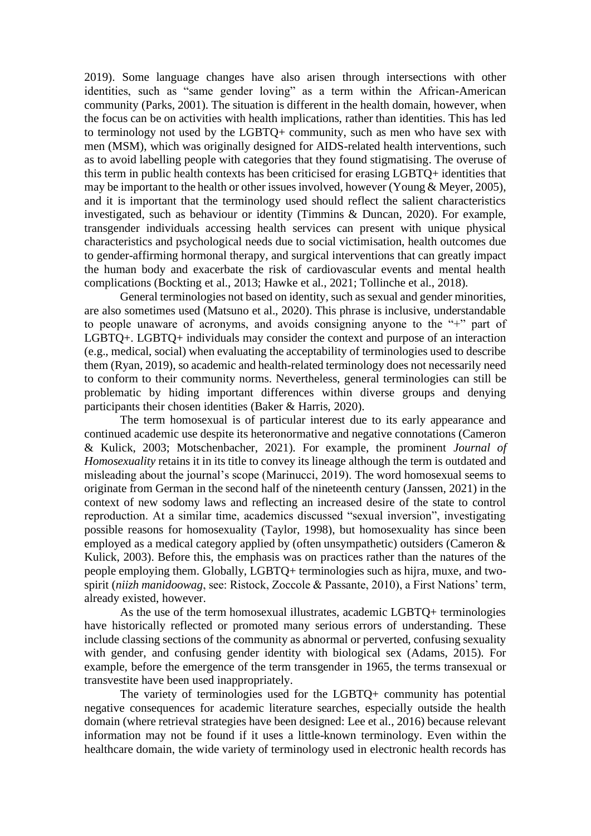2019). Some language changes have also arisen through intersections with other identities, such as "same gender loving" as a term within the African-American community (Parks, 2001). The situation is different in the health domain, however, when the focus can be on activities with health implications, rather than identities. This has led to terminology not used by the LGBTQ+ community, such as men who have sex with men (MSM), which was originally designed for AIDS-related health interventions, such as to avoid labelling people with categories that they found stigmatising. The overuse of this term in public health contexts has been criticised for erasing LGBTQ+ identities that may be important to the health or other issues involved, however (Young & Meyer, 2005), and it is important that the terminology used should reflect the salient characteristics investigated, such as behaviour or identity (Timmins & Duncan, 2020). For example, transgender individuals accessing health services can present with unique physical characteristics and psychological needs due to social victimisation, health outcomes due to gender-affirming hormonal therapy, and surgical interventions that can greatly impact the human body and exacerbate the risk of cardiovascular events and mental health complications (Bockting et al., 2013; Hawke et al., 2021; Tollinche et al., 2018).

General terminologies not based on identity, such as sexual and gender minorities, are also sometimes used (Matsuno et al., 2020). This phrase is inclusive, understandable to people unaware of acronyms, and avoids consigning anyone to the "+" part of LGBTQ+. LGBTQ+ individuals may consider the context and purpose of an interaction (e.g., medical, social) when evaluating the acceptability of terminologies used to describe them (Ryan, 2019), so academic and health-related terminology does not necessarily need to conform to their community norms. Nevertheless, general terminologies can still be problematic by hiding important differences within diverse groups and denying participants their chosen identities (Baker & Harris, 2020).

The term homosexual is of particular interest due to its early appearance and continued academic use despite its heteronormative and negative connotations (Cameron & Kulick, 2003; Motschenbacher, 2021). For example, the prominent *Journal of Homosexuality* retains it in its title to convey its lineage although the term is outdated and misleading about the journal's scope (Marinucci, 2019). The word homosexual seems to originate from German in the second half of the nineteenth century (Janssen, 2021) in the context of new sodomy laws and reflecting an increased desire of the state to control reproduction. At a similar time, academics discussed "sexual inversion", investigating possible reasons for homosexuality (Taylor, 1998), but homosexuality has since been employed as a medical category applied by (often unsympathetic) outsiders (Cameron & Kulick, 2003). Before this, the emphasis was on practices rather than the natures of the people employing them. Globally, LGBTQ+ terminologies such as hijra, muxe, and twospirit (*niizh manidoowag*, see: Ristock, Zoccole & Passante, 2010), a First Nations' term, already existed, however.

As the use of the term homosexual illustrates, academic LGBTQ+ terminologies have historically reflected or promoted many serious errors of understanding. These include classing sections of the community as abnormal or perverted, confusing sexuality with gender, and confusing gender identity with biological sex (Adams, 2015). For example, before the emergence of the term transgender in 1965, the terms transexual or transvestite have been used inappropriately.

The variety of terminologies used for the LGBTQ+ community has potential negative consequences for academic literature searches, especially outside the health domain (where retrieval strategies have been designed: Lee et al., 2016) because relevant information may not be found if it uses a little-known terminology. Even within the healthcare domain, the wide variety of terminology used in electronic health records has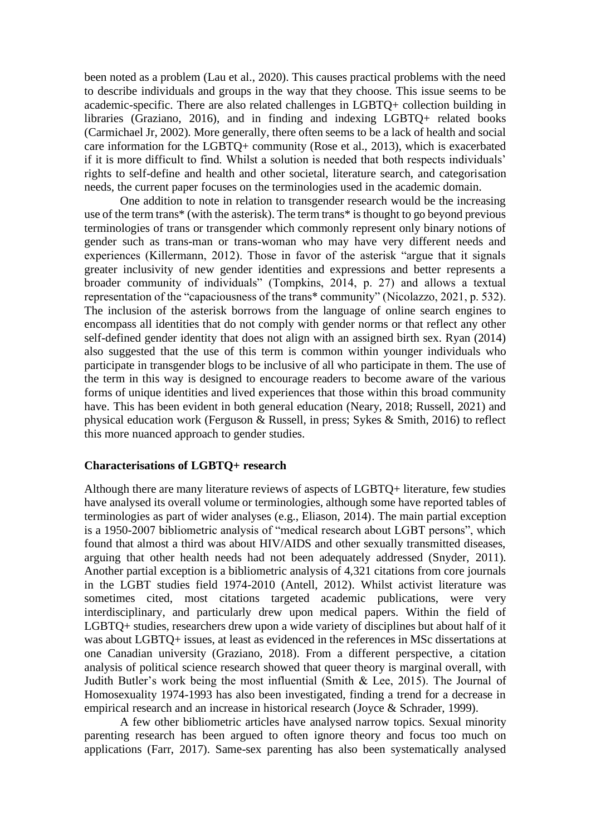been noted as a problem (Lau et al., 2020). This causes practical problems with the need to describe individuals and groups in the way that they choose. This issue seems to be academic-specific. There are also related challenges in LGBTQ+ collection building in libraries (Graziano, 2016), and in finding and indexing LGBTQ+ related books (Carmichael Jr, 2002). More generally, there often seems to be a lack of health and social care information for the LGBTQ+ community (Rose et al., 2013), which is exacerbated if it is more difficult to find. Whilst a solution is needed that both respects individuals' rights to self-define and health and other societal, literature search, and categorisation needs, the current paper focuses on the terminologies used in the academic domain.

One addition to note in relation to transgender research would be the increasing use of the term trans\* (with the asterisk). The term trans\* is thought to go beyond previous terminologies of trans or transgender which commonly represent only binary notions of gender such as trans-man or trans-woman who may have very different needs and experiences (Killermann, 2012). Those in favor of the asterisk "argue that it signals greater inclusivity of new gender identities and expressions and better represents a broader community of individuals" (Tompkins, 2014, p. 27) and allows a textual representation of the "capaciousness of the trans\* community" (Nicolazzo, 2021, p. 532). The inclusion of the asterisk borrows from the language of online search engines to encompass all identities that do not comply with gender norms or that reflect any other self-defined gender identity that does not align with an assigned birth sex. Ryan (2014) also suggested that the use of this term is common within younger individuals who participate in transgender blogs to be inclusive of all who participate in them. The use of the term in this way is designed to encourage readers to become aware of the various forms of unique identities and lived experiences that those within this broad community have. This has been evident in both general education (Neary, 2018; Russell, 2021) and physical education work (Ferguson & Russell, in press; Sykes & Smith, 2016) to reflect this more nuanced approach to gender studies.

## **Characterisations of LGBTQ+ research**

Although there are many literature reviews of aspects of LGBTQ+ literature, few studies have analysed its overall volume or terminologies, although some have reported tables of terminologies as part of wider analyses (e.g., Eliason, 2014). The main partial exception is a 1950-2007 bibliometric analysis of "medical research about LGBT persons", which found that almost a third was about HIV/AIDS and other sexually transmitted diseases, arguing that other health needs had not been adequately addressed (Snyder, 2011). Another partial exception is a bibliometric analysis of 4,321 citations from core journals in the LGBT studies field 1974-2010 (Antell, 2012). Whilst activist literature was sometimes cited, most citations targeted academic publications, were very interdisciplinary, and particularly drew upon medical papers. Within the field of LGBTQ+ studies, researchers drew upon a wide variety of disciplines but about half of it was about LGBTQ+ issues, at least as evidenced in the references in MSc dissertations at one Canadian university (Graziano, 2018). From a different perspective, a citation analysis of political science research showed that queer theory is marginal overall, with Judith Butler's work being the most influential (Smith & Lee, 2015). The Journal of Homosexuality 1974-1993 has also been investigated, finding a trend for a decrease in empirical research and an increase in historical research (Joyce & Schrader, 1999).

A few other bibliometric articles have analysed narrow topics. Sexual minority parenting research has been argued to often ignore theory and focus too much on applications (Farr, 2017). Same-sex parenting has also been systematically analysed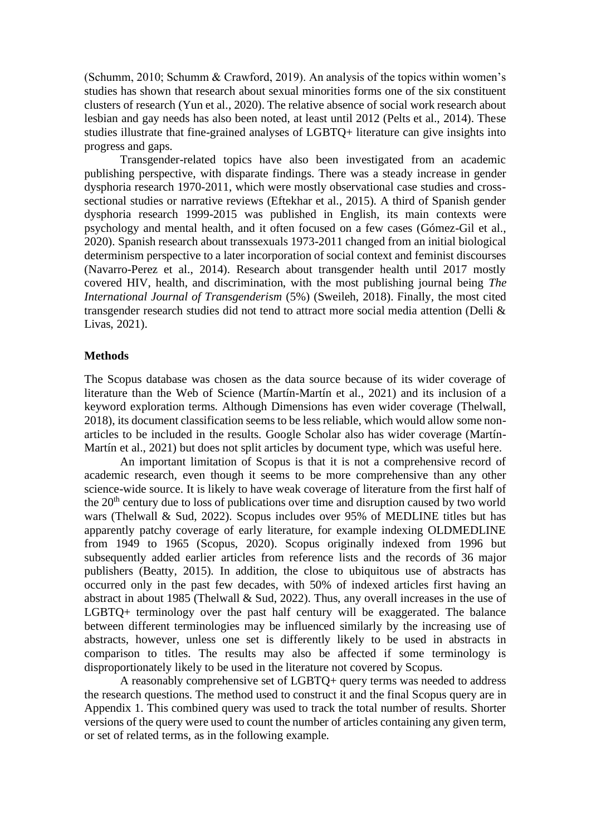(Schumm, 2010; Schumm & Crawford, 2019). An analysis of the topics within women's studies has shown that research about sexual minorities forms one of the six constituent clusters of research (Yun et al., 2020). The relative absence of social work research about lesbian and gay needs has also been noted, at least until 2012 (Pelts et al., 2014). These studies illustrate that fine-grained analyses of LGBTQ+ literature can give insights into progress and gaps.

Transgender-related topics have also been investigated from an academic publishing perspective, with disparate findings. There was a steady increase in gender dysphoria research 1970-2011, which were mostly observational case studies and crosssectional studies or narrative reviews (Eftekhar et al., 2015). A third of Spanish gender dysphoria research 1999-2015 was published in English, its main contexts were psychology and mental health, and it often focused on a few cases (Gómez-Gil et al., 2020). Spanish research about transsexuals 1973-2011 changed from an initial biological determinism perspective to a later incorporation of social context and feminist discourses (Navarro-Perez et al., 2014). Research about transgender health until 2017 mostly covered HIV, health, and discrimination, with the most publishing journal being *The International Journal of Transgenderism* (5%) (Sweileh, 2018). Finally, the most cited transgender research studies did not tend to attract more social media attention (Delli & Livas, 2021).

## **Methods**

The Scopus database was chosen as the data source because of its wider coverage of literature than the Web of Science (Martín-Martín et al., 2021) and its inclusion of a keyword exploration terms. Although Dimensions has even wider coverage (Thelwall, 2018), its document classification seems to be less reliable, which would allow some nonarticles to be included in the results. Google Scholar also has wider coverage (Martín-Martín et al., 2021) but does not split articles by document type, which was useful here.

An important limitation of Scopus is that it is not a comprehensive record of academic research, even though it seems to be more comprehensive than any other science-wide source. It is likely to have weak coverage of literature from the first half of the  $20<sup>th</sup>$  century due to loss of publications over time and disruption caused by two world wars (Thelwall & Sud, 2022). Scopus includes over 95% of MEDLINE titles but has apparently patchy coverage of early literature, for example indexing OLDMEDLINE from 1949 to 1965 (Scopus, 2020). Scopus originally indexed from 1996 but subsequently added earlier articles from reference lists and the records of 36 major publishers (Beatty, 2015). In addition, the close to ubiquitous use of abstracts has occurred only in the past few decades, with 50% of indexed articles first having an abstract in about 1985 (Thelwall  $& Sud, 2022$ ). Thus, any overall increases in the use of LGBTQ+ terminology over the past half century will be exaggerated. The balance between different terminologies may be influenced similarly by the increasing use of abstracts, however, unless one set is differently likely to be used in abstracts in comparison to titles. The results may also be affected if some terminology is disproportionately likely to be used in the literature not covered by Scopus.

A reasonably comprehensive set of LGBTQ+ query terms was needed to address the research questions. The method used to construct it and the final Scopus query are in Appendix 1. This combined query was used to track the total number of results. Shorter versions of the query were used to count the number of articles containing any given term, or set of related terms, as in the following example.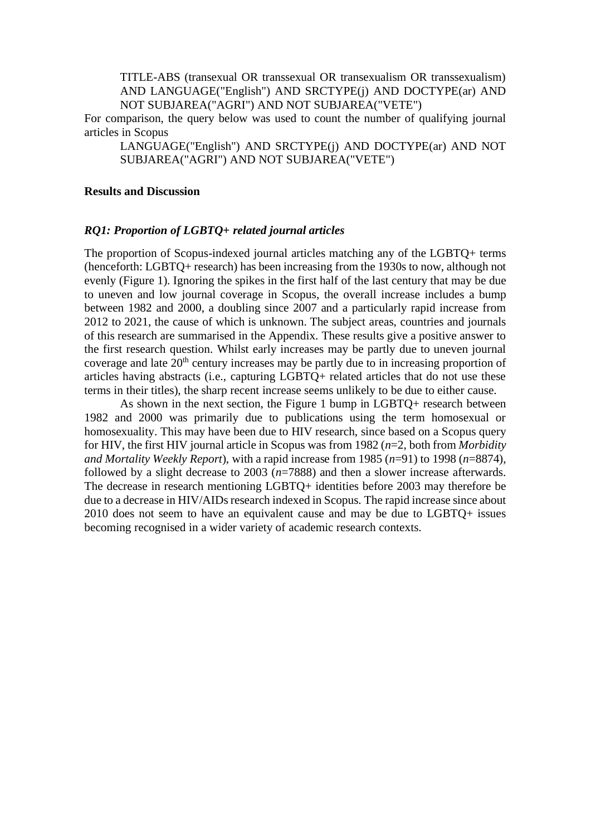TITLE-ABS (transexual OR transsexual OR transexualism OR transsexualism) AND LANGUAGE("English") AND SRCTYPE(j) AND DOCTYPE(ar) AND NOT SUBJAREA("AGRI") AND NOT SUBJAREA("VETE")

For comparison, the query below was used to count the number of qualifying journal articles in Scopus

LANGUAGE("English") AND SRCTYPE(j) AND DOCTYPE(ar) AND NOT SUBJAREA("AGRI") AND NOT SUBJAREA("VETE")

#### **Results and Discussion**

### *RQ1: Proportion of LGBTQ+ related journal articles*

The proportion of Scopus-indexed journal articles matching any of the LGBTQ+ terms (henceforth: LGBTQ+ research) has been increasing from the 1930s to now, although not evenly (Figure 1). Ignoring the spikes in the first half of the last century that may be due to uneven and low journal coverage in Scopus, the overall increase includes a bump between 1982 and 2000, a doubling since 2007 and a particularly rapid increase from 2012 to 2021, the cause of which is unknown. The subject areas, countries and journals of this research are summarised in the Appendix. These results give a positive answer to the first research question. Whilst early increases may be partly due to uneven journal coverage and late  $20<sup>th</sup>$  century increases may be partly due to in increasing proportion of articles having abstracts (i.e., capturing LGBTQ+ related articles that do not use these terms in their titles), the sharp recent increase seems unlikely to be due to either cause.

As shown in the next section, the Figure 1 bump in LGBTQ+ research between 1982 and 2000 was primarily due to publications using the term homosexual or homosexuality. This may have been due to HIV research, since based on a Scopus query for HIV, the first HIV journal article in Scopus was from 1982 (*n*=2, both from *Morbidity and Mortality Weekly Report*), with a rapid increase from 1985 (*n*=91) to 1998 (*n*=8874), followed by a slight decrease to 2003 (*n*=7888) and then a slower increase afterwards. The decrease in research mentioning LGBTQ+ identities before 2003 may therefore be due to a decrease in HIV/AIDs research indexed in Scopus. The rapid increase since about 2010 does not seem to have an equivalent cause and may be due to LGBTQ+ issues becoming recognised in a wider variety of academic research contexts.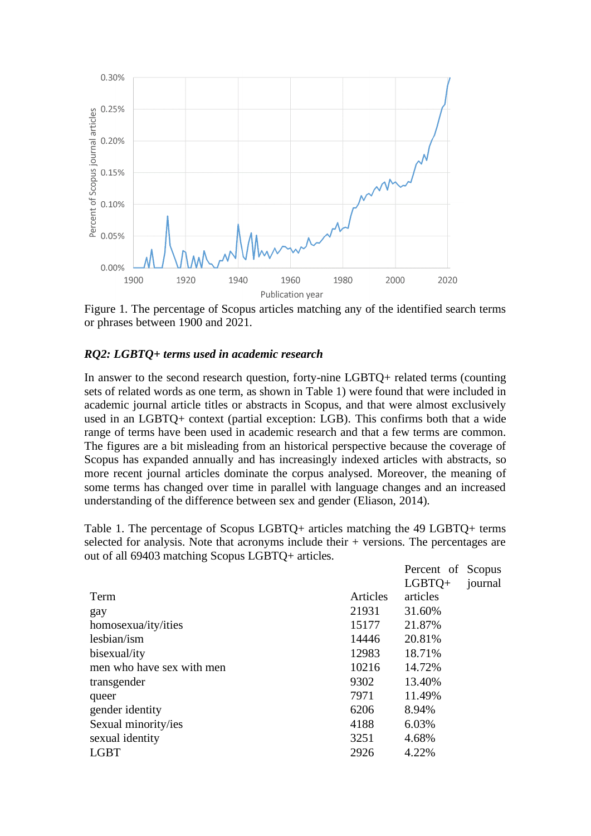

Figure 1. The percentage of Scopus articles matching any of the identified search terms or phrases between 1900 and 2021.

## *RQ2: LGBTQ+ terms used in academic research*

In answer to the second research question, forty-nine LGBTQ+ related terms (counting sets of related words as one term, as shown in Table 1) were found that were included in academic journal article titles or abstracts in Scopus, and that were almost exclusively used in an LGBTQ+ context (partial exception: LGB). This confirms both that a wide range of terms have been used in academic research and that a few terms are common. The figures are a bit misleading from an historical perspective because the coverage of Scopus has expanded annually and has increasingly indexed articles with abstracts, so more recent journal articles dominate the corpus analysed. Moreover, the meaning of some terms has changed over time in parallel with language changes and an increased understanding of the difference between sex and gender (Eliason, 2014).

Table 1. The percentage of Scopus LGBTQ+ articles matching the 49 LGBTQ+ terms selected for analysis. Note that acronyms include their + versions. The percentages are out of all 69403 matching Scopus LGBTQ+ articles.

 $D_{\text{measured}}$  of  $\mathcal{C}_{\text{measured}}$ 

|                           |          | referent of propus |         |
|---------------------------|----------|--------------------|---------|
|                           |          | $LGBTO+$           | journal |
| Term                      | Articles | articles           |         |
| gay                       | 21931    | 31.60%             |         |
| homosexua/ity/ities       | 15177    | 21.87%             |         |
| lesbian/ism               | 14446    | 20.81%             |         |
| bisexual/ity              | 12983    | 18.71%             |         |
| men who have sex with men | 10216    | 14.72%             |         |
| transgender               | 9302     | 13.40%             |         |
| queer                     | 7971     | 11.49%             |         |
| gender identity           | 6206     | 8.94%              |         |
| Sexual minority/ies       | 4188     | 6.03%              |         |
| sexual identity           | 3251     | 4.68%              |         |
| <b>LGBT</b>               | 2926     | 4.22%              |         |
|                           |          |                    |         |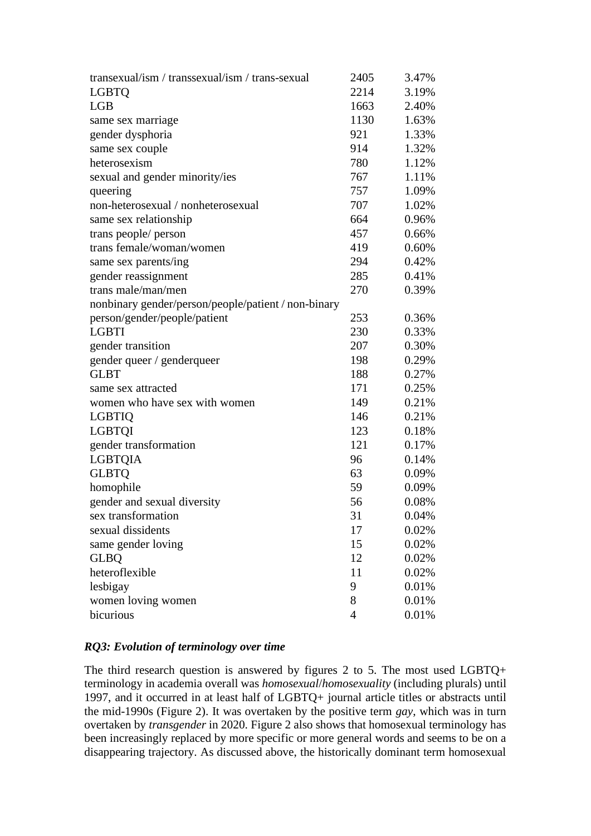| transexual/ism / transsexual/ism / trans-sexual     | 2405           | 3.47% |
|-----------------------------------------------------|----------------|-------|
| <b>LGBTQ</b>                                        | 2214           | 3.19% |
| <b>LGB</b>                                          | 1663           | 2.40% |
| same sex marriage                                   | 1130           | 1.63% |
| gender dysphoria                                    | 921            | 1.33% |
| same sex couple                                     | 914            | 1.32% |
| heterosexism                                        | 780            | 1.12% |
| sexual and gender minority/ies                      | 767            | 1.11% |
| queering                                            | 757            | 1.09% |
| non-heterosexual / nonheterosexual                  | 707            | 1.02% |
| same sex relationship                               | 664            | 0.96% |
| trans people/ person                                | 457            | 0.66% |
| trans female/woman/women                            | 419            | 0.60% |
| same sex parents/ing                                | 294            | 0.42% |
| gender reassignment                                 | 285            | 0.41% |
| trans male/man/men                                  | 270            | 0.39% |
| nonbinary gender/person/people/patient / non-binary |                |       |
| person/gender/people/patient                        | 253            | 0.36% |
| <b>LGBTI</b>                                        | 230            | 0.33% |
| gender transition                                   | 207            | 0.30% |
| gender queer / genderqueer                          | 198            | 0.29% |
| <b>GLBT</b>                                         | 188            | 0.27% |
| same sex attracted                                  | 171            | 0.25% |
| women who have sex with women                       | 149            | 0.21% |
| <b>LGBTIQ</b>                                       | 146            | 0.21% |
| <b>LGBTQI</b>                                       | 123            | 0.18% |
| gender transformation                               | 121            | 0.17% |
| <b>LGBTQIA</b>                                      | 96             | 0.14% |
| <b>GLBTQ</b>                                        | 63             | 0.09% |
| homophile                                           | 59             | 0.09% |
| gender and sexual diversity                         | 56             | 0.08% |
| sex transformation                                  | 31             | 0.04% |
| sexual dissidents                                   | 17             | 0.02% |
| same gender loving                                  | 15             | 0.02% |
| <b>GLBQ</b>                                         | 12             | 0.02% |
| heteroflexible                                      | 11             | 0.02% |
| lesbigay                                            | 9              | 0.01% |
| women loving women                                  | 8              | 0.01% |
| bicurious                                           | $\overline{4}$ | 0.01% |

## *RQ3: Evolution of terminology over time*

The third research question is answered by figures 2 to 5. The most used LGBTQ+ terminology in academia overall was *homosexual*/*homosexuality* (including plurals) until 1997, and it occurred in at least half of LGBTQ+ journal article titles or abstracts until the mid-1990s (Figure 2). It was overtaken by the positive term *gay*, which was in turn overtaken by *transgender* in 2020. Figure 2 also shows that homosexual terminology has been increasingly replaced by more specific or more general words and seems to be on a disappearing trajectory. As discussed above, the historically dominant term homosexual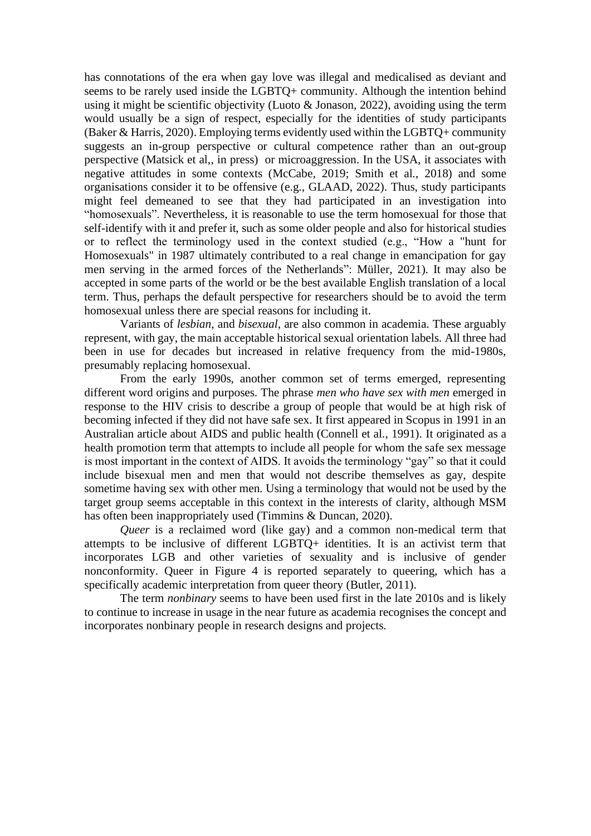has connotations of the era when gay love was illegal and medicalised as deviant and seems to be rarely used inside the LGBTQ+ community. Although the intention behind using it might be scientific objectivity (Luoto & Jonason, 2022), avoiding using the term would usually be a sign of respect, especially for the identities of study participants (Baker & Harris, 2020). Employing terms evidently used within the LGBTQ+ community suggests an in-group perspective or cultural competence rather than an out-group perspective (Matsick et al,, in press) or microaggression. In the USA, it associates with negative attitudes in some contexts (McCabe, 2019; Smith et al., 2018) and some organisations consider it to be offensive (e.g., GLAAD, 2022). Thus, study participants might feel demeaned to see that they had participated in an investigation into "homosexuals". Nevertheless, it is reasonable to use the term homosexual for those that self-identify with it and prefer it, such as some older people and also for historical studies or to reflect the terminology used in the context studied (e.g., "How a "hunt for Homosexuals" in 1987 ultimately contributed to a real change in emancipation for gay men serving in the armed forces of the Netherlands": Müller, 2021). It may also be accepted in some parts of the world or be the best available English translation of a local term. Thus, perhaps the default perspective for researchers should be to avoid the term homosexual unless there are special reasons for including it.

Variants of *lesbian*, and *bisexual*, are also common in academia. These arguably represent, with gay, the main acceptable historical sexual orientation labels. All three had been in use for decades but increased in relative frequency from the mid-1980s, presumably replacing homosexual.

From the early 1990s, another common set of terms emerged, representing different word origins and purposes. The phrase *men who have sex with men* emerged in response to the HIV crisis to describe a group of people that would be at high risk of becoming infected if they did not have safe sex. It first appeared in Scopus in 1991 in an Australian article about AIDS and public health (Connell et al., 1991). It originated as a health promotion term that attempts to include all people for whom the safe sex message is most important in the context of AIDS. It avoids the terminology "gay" so that it could include bisexual men and men that would not describe themselves as gay, despite sometime having sex with other men. Using a terminology that would not be used by the target group seems acceptable in this context in the interests of clarity, although MSM has often been inappropriately used (Timmins & Duncan, 2020).

*Queer* is a reclaimed word (like gay) and a common non-medical term that attempts to be inclusive of different LGBTQ+ identities. It is an activist term that incorporates LGB and other varieties of sexuality and is inclusive of gender nonconformity. Queer in Figure 4 is reported separately to queering, which has a specifically academic interpretation from queer theory (Butler, 2011).

The term *nonbinary* seems to have been used first in the late 2010s and is likely to continue to increase in usage in the near future as academia recognises the concept and incorporates nonbinary people in research designs and projects.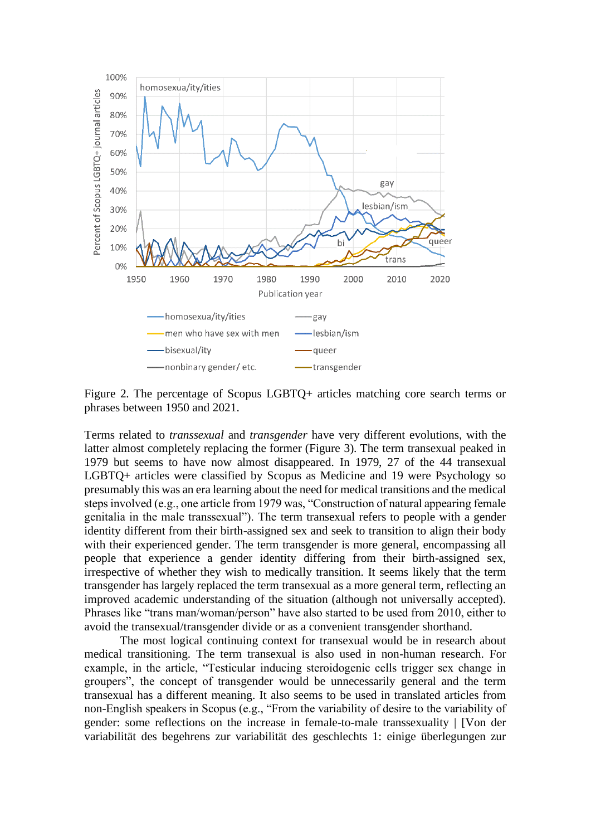

Figure 2. The percentage of Scopus LGBTQ+ articles matching core search terms or phrases between 1950 and 2021.

Terms related to *transsexual* and *transgender* have very different evolutions, with the latter almost completely replacing the former (Figure 3). The term transexual peaked in 1979 but seems to have now almost disappeared. In 1979, 27 of the 44 transexual LGBTQ+ articles were classified by Scopus as Medicine and 19 were Psychology so presumably this was an era learning about the need for medical transitions and the medical steps involved (e.g., one article from 1979 was, "Construction of natural appearing female genitalia in the male transsexual"). The term transexual refers to people with a gender identity different from their birth-assigned sex and seek to transition to align their body with their experienced gender. The term transgender is more general, encompassing all people that experience a gender identity differing from their birth-assigned sex, irrespective of whether they wish to medically transition. It seems likely that the term transgender has largely replaced the term transexual as a more general term, reflecting an improved academic understanding of the situation (although not universally accepted). Phrases like "trans man/woman/person" have also started to be used from 2010, either to avoid the transexual/transgender divide or as a convenient transgender shorthand.

The most logical continuing context for transexual would be in research about medical transitioning. The term transexual is also used in non-human research. For example, in the article, "Testicular inducing steroidogenic cells trigger sex change in groupers", the concept of transgender would be unnecessarily general and the term transexual has a different meaning. It also seems to be used in translated articles from non-English speakers in Scopus (e.g., "From the variability of desire to the variability of gender: some reflections on the increase in female-to-male transsexuality | [Von der variabilität des begehrens zur variabilität des geschlechts 1: einige überlegungen zur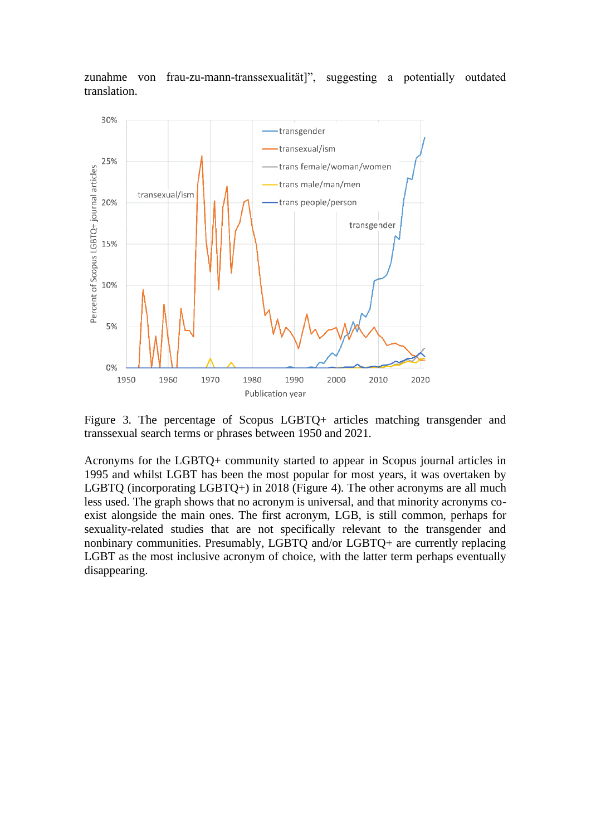zunahme von frau-zu-mann-transsexualität]", suggesting a potentially outdated translation.



Figure 3. The percentage of Scopus LGBTQ+ articles matching transgender and transsexual search terms or phrases between 1950 and 2021.

Acronyms for the LGBTQ+ community started to appear in Scopus journal articles in 1995 and whilst LGBT has been the most popular for most years, it was overtaken by LGBTQ (incorporating LGBTQ+) in 2018 (Figure 4). The other acronyms are all much less used. The graph shows that no acronym is universal, and that minority acronyms coexist alongside the main ones. The first acronym, LGB, is still common, perhaps for sexuality-related studies that are not specifically relevant to the transgender and nonbinary communities. Presumably, LGBTQ and/or LGBTQ+ are currently replacing LGBT as the most inclusive acronym of choice, with the latter term perhaps eventually disappearing.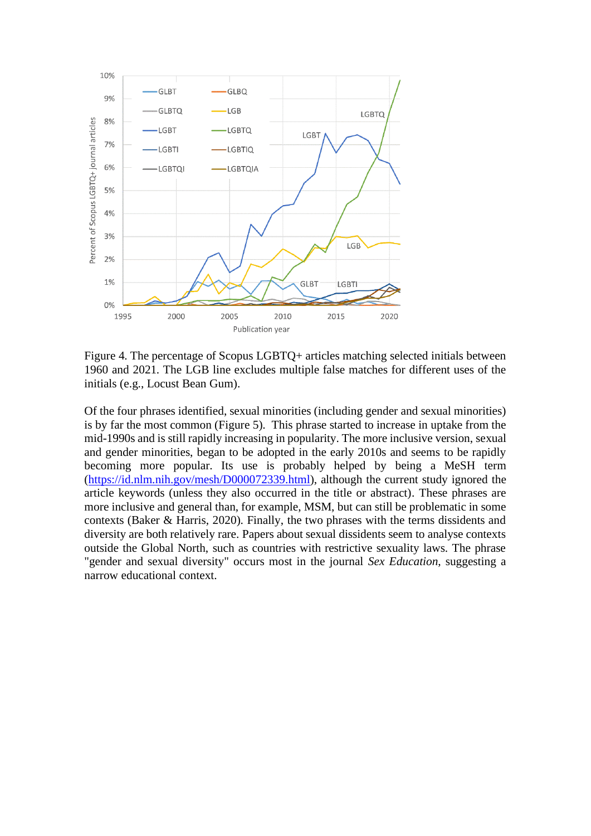

Figure 4. The percentage of Scopus LGBTQ+ articles matching selected initials between 1960 and 2021. The LGB line excludes multiple false matches for different uses of the initials (e.g., Locust Bean Gum).

Of the four phrases identified, sexual minorities (including gender and sexual minorities) is by far the most common (Figure 5). This phrase started to increase in uptake from the mid-1990s and is still rapidly increasing in popularity. The more inclusive version, sexual and gender minorities, began to be adopted in the early 2010s and seems to be rapidly becoming more popular. Its use is probably helped by being a MeSH term [\(https://id.nlm.nih.gov/mesh/D000072339.html\)](https://id.nlm.nih.gov/mesh/D000072339.html), although the current study ignored the article keywords (unless they also occurred in the title or abstract). These phrases are more inclusive and general than, for example, MSM, but can still be problematic in some contexts (Baker & Harris, 2020). Finally, the two phrases with the terms dissidents and diversity are both relatively rare. Papers about sexual dissidents seem to analyse contexts outside the Global North, such as countries with restrictive sexuality laws. The phrase "gender and sexual diversity" occurs most in the journal *Sex Education*, suggesting a narrow educational context.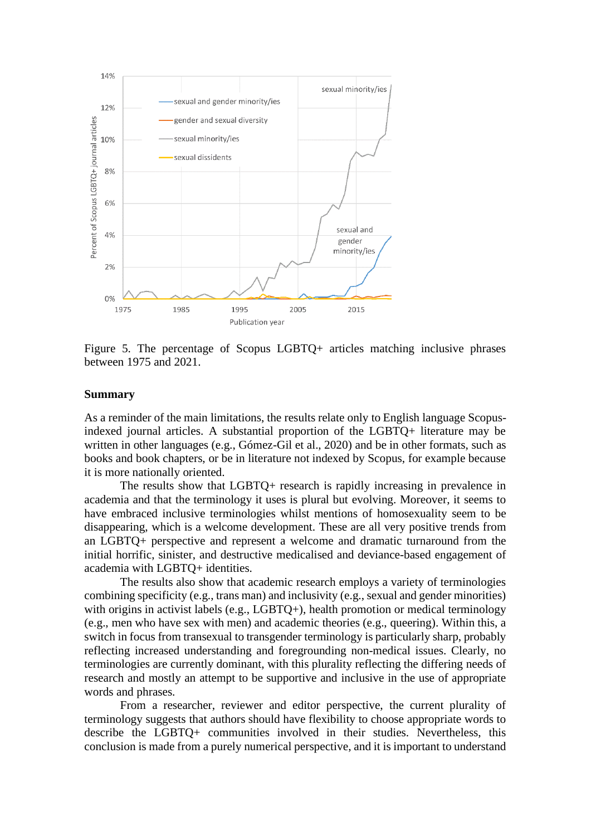

Figure 5. The percentage of Scopus LGBTQ+ articles matching inclusive phrases between 1975 and 2021.

#### **Summary**

As a reminder of the main limitations, the results relate only to English language Scopusindexed journal articles. A substantial proportion of the LGBTQ+ literature may be written in other languages (e.g., Gómez-Gil et al., 2020) and be in other formats, such as books and book chapters, or be in literature not indexed by Scopus, for example because it is more nationally oriented.

The results show that LGBTQ+ research is rapidly increasing in prevalence in academia and that the terminology it uses is plural but evolving. Moreover, it seems to have embraced inclusive terminologies whilst mentions of homosexuality seem to be disappearing, which is a welcome development. These are all very positive trends from an LGBTQ+ perspective and represent a welcome and dramatic turnaround from the initial horrific, sinister, and destructive medicalised and deviance-based engagement of academia with LGBTQ+ identities.

The results also show that academic research employs a variety of terminologies combining specificity (e.g., trans man) and inclusivity (e.g., sexual and gender minorities) with origins in activist labels (e.g., LGBTO+), health promotion or medical terminology (e.g., men who have sex with men) and academic theories (e.g., queering). Within this, a switch in focus from transexual to transgender terminology is particularly sharp, probably reflecting increased understanding and foregrounding non-medical issues. Clearly, no terminologies are currently dominant, with this plurality reflecting the differing needs of research and mostly an attempt to be supportive and inclusive in the use of appropriate words and phrases.

From a researcher, reviewer and editor perspective, the current plurality of terminology suggests that authors should have flexibility to choose appropriate words to describe the LGBTQ+ communities involved in their studies. Nevertheless, this conclusion is made from a purely numerical perspective, and it is important to understand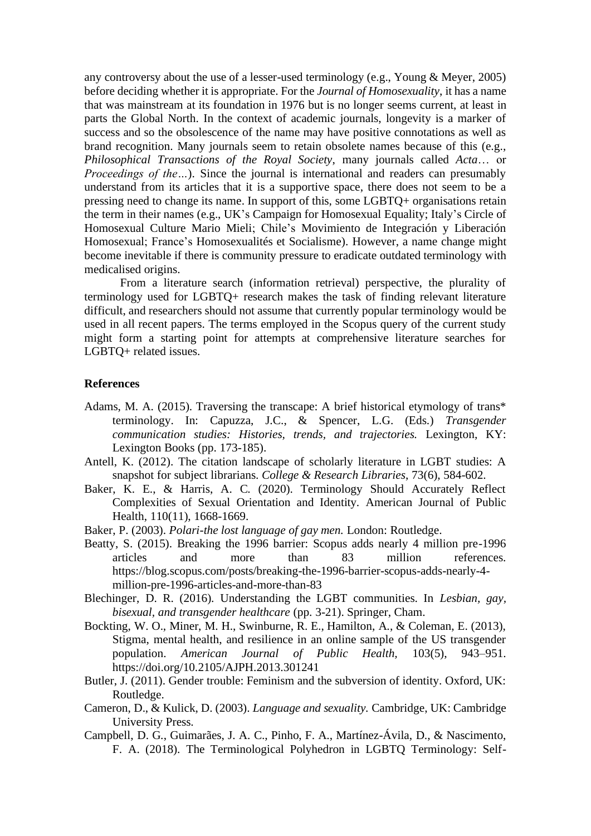any controversy about the use of a lesser-used terminology (e.g., Young & Meyer, 2005) before deciding whether it is appropriate. For the *Journal of Homosexuality*, it has a name that was mainstream at its foundation in 1976 but is no longer seems current, at least in parts the Global North. In the context of academic journals, longevity is a marker of success and so the obsolescence of the name may have positive connotations as well as brand recognition. Many journals seem to retain obsolete names because of this (e.g., *Philosophical Transactions of the Royal Society*, many journals called *Acta*… or *Proceedings of the...*). Since the journal is international and readers can presumably understand from its articles that it is a supportive space, there does not seem to be a pressing need to change its name. In support of this, some LGBTQ+ organisations retain the term in their names (e.g., UK's Campaign for Homosexual Equality; Italy's Circle of Homosexual Culture Mario Mieli; Chile's Movimiento de Integración y Liberación Homosexual; France's Homosexualités et Socialisme). However, a name change might become inevitable if there is community pressure to eradicate outdated terminology with medicalised origins.

From a literature search (information retrieval) perspective, the plurality of terminology used for LGBTQ+ research makes the task of finding relevant literature difficult, and researchers should not assume that currently popular terminology would be used in all recent papers. The terms employed in the Scopus query of the current study might form a starting point for attempts at comprehensive literature searches for LGBTQ+ related issues.

#### **References**

- Adams, M. A. (2015). Traversing the transcape: A brief historical etymology of trans\* terminology. In: Capuzza, J.C., & Spencer, L.G. (Eds.) *Transgender communication studies: Histories, trends, and trajectories.* Lexington, KY: Lexington Books (pp. 173-185).
- Antell, K. (2012). The citation landscape of scholarly literature in LGBT studies: A snapshot for subject librarians. *College & Research Libraries*, 73(6), 584-602.
- Baker, K. E., & Harris, A. C. (2020). Terminology Should Accurately Reflect Complexities of Sexual Orientation and Identity. American Journal of Public Health, 110(11), 1668-1669.
- Baker, P. (2003). *Polari-the lost language of gay men.* London: Routledge.
- Beatty, S. (2015). Breaking the 1996 barrier: Scopus adds nearly 4 million pre-1996 articles and more than 83 million references. https://blog.scopus.com/posts/breaking-the-1996-barrier-scopus-adds-nearly-4 million-pre-1996-articles-and-more-than-83
- Blechinger, D. R. (2016). Understanding the LGBT communities. In *Lesbian, gay, bisexual, and transgender healthcare* (pp. 3-21). Springer, Cham.
- Bockting, W. O., Miner, M. H., Swinburne, R. E., Hamilton, A., & Coleman, E. (2013), Stigma, mental health, and resilience in an online sample of the US transgender population. *American Journal of Public Health,* 103(5), 943–951. https://doi.org/10.2105/AJPH.2013.301241
- Butler, J. (2011). Gender trouble: Feminism and the subversion of identity. Oxford, UK: Routledge.
- Cameron, D., & Kulick, D. (2003). *Language and sexuality.* Cambridge, UK: Cambridge University Press.
- Campbell, D. G., Guimarães, J. A. C., Pinho, F. A., Martínez-Ávila, D., & Nascimento, F. A. (2018). The Terminological Polyhedron in LGBTQ Terminology: Self-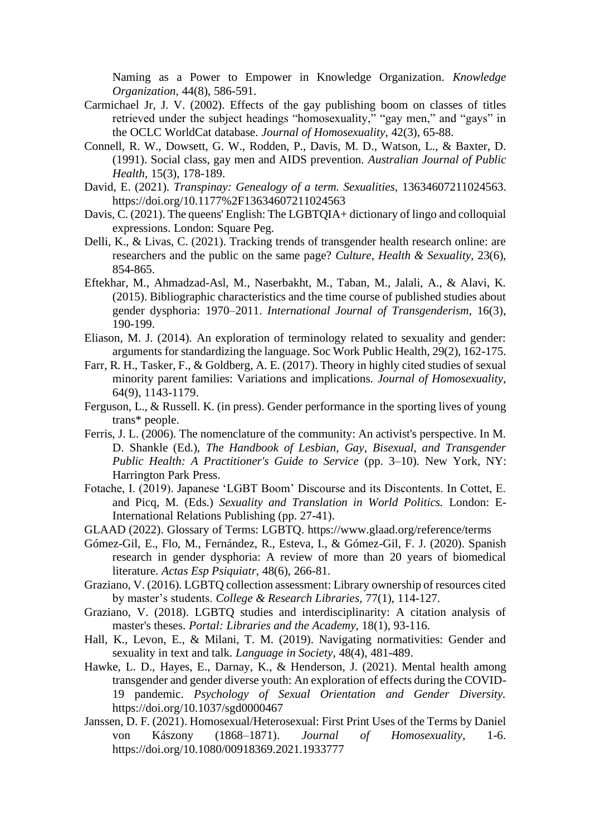Naming as a Power to Empower in Knowledge Organization. *Knowledge Organization,* 44(8), 586-591.

- Carmichael Jr, J. V. (2002). Effects of the gay publishing boom on classes of titles retrieved under the subject headings "homosexuality," "gay men," and "gays" in the OCLC WorldCat database. *Journal of Homosexuality*, 42(3), 65-88.
- Connell, R. W., Dowsett, G. W., Rodden, P., Davis, M. D., Watson, L., & Baxter, D. (1991). Social class, gay men and AIDS prevention. *Australian Journal of Public Health,* 15(3), 178-189.
- David, E. (2021). *Transpinay: Genealogy of a term. Sexualities,* 13634607211024563. https://doi.org/10.1177%2F13634607211024563
- Davis, C. (2021). The queens' English: The LGBTQIA+ dictionary of lingo and colloquial expressions. London: Square Peg.
- Delli, K., & Livas, C. (2021). Tracking trends of transgender health research online: are researchers and the public on the same page? *Culture, Health & Sexuality*, 23(6), 854-865.
- Eftekhar, M., Ahmadzad-Asl, M., Naserbakht, M., Taban, M., Jalali, A., & Alavi, K. (2015). Bibliographic characteristics and the time course of published studies about gender dysphoria: 1970–2011. *International Journal of Transgenderism*, 16(3), 190-199.
- Eliason, M. J. (2014). An exploration of terminology related to sexuality and gender: arguments for standardizing the language. Soc Work Public Health, 29(2), 162-175.
- Farr, R. H., Tasker, F., & Goldberg, A. E. (2017). Theory in highly cited studies of sexual minority parent families: Variations and implications. *Journal of Homosexuality*, 64(9), 1143-1179.
- Ferguson, L., & Russell. K. (in press). Gender performance in the sporting lives of young trans\* people.
- Ferris, J. L. (2006). The nomenclature of the community: An activist's perspective. In M. D. Shankle (Ed.), *The Handbook of Lesbian, Gay, Bisexual, and Transgender Public Health: A Practitioner's Guide to Service* (pp. 3–10). New York, NY: Harrington Park Press.
- Fotache, I. (2019). Japanese 'LGBT Boom' Discourse and its Discontents. In Cottet, E. and Picq, M. (Eds.) *Sexuality and Translation in World Politics.* London: E-International Relations Publishing (pp. 27-41).
- GLAAD (2022). Glossary of Terms: LGBTQ. https://www.glaad.org/reference/terms
- Gómez-Gil, E., Flo, M., Fernández, R., Esteva, I., & Gómez-Gil, F. J. (2020). Spanish research in gender dysphoria: A review of more than 20 years of biomedical literature. *Actas Esp Psiquiatr*, 48(6), 266-81.
- Graziano, V. (2016). LGBTQ collection assessment: Library ownership of resources cited by master's students. *College & Research Libraries,* 77(1), 114-127.
- Graziano, V. (2018). LGBTQ studies and interdisciplinarity: A citation analysis of master's theses. *Portal: Libraries and the Academy*, 18(1), 93-116.
- Hall, K., Levon, E., & Milani, T. M. (2019). Navigating normativities: Gender and sexuality in text and talk. *Language in Society*, 48(4), 481-489.
- Hawke, L. D., Hayes, E., Darnay, K., & Henderson, J. (2021). Mental health among transgender and gender diverse youth: An exploration of effects during the COVID-19 pandemic. *Psychology of Sexual Orientation and Gender Diversity.* https://doi.org/10.1037/sgd0000467
- Janssen, D. F. (2021). Homosexual/Heterosexual: First Print Uses of the Terms by Daniel von Kászony (1868–1871). *Journal of Homosexuality*, 1-6. https://doi.org/10.1080/00918369.2021.1933777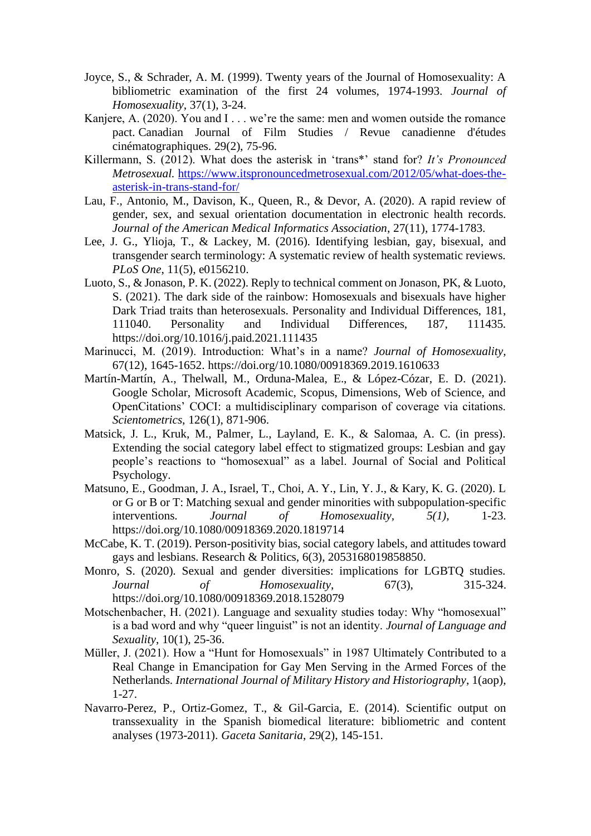- Joyce, S., & Schrader, A. M. (1999). Twenty years of the Journal of Homosexuality: A bibliometric examination of the first 24 volumes, 1974-1993. *Journal of Homosexuality*, 37(1), 3-24.
- Kanjere, A. (2020). You and I . . . we're the same: men and women outside the romance pact. Canadian Journal of Film Studies / Revue canadienne d'études cinématographiques. 29(2), 75-96.
- Killermann, S. (2012). What does the asterisk in 'trans\*' stand for? *It's Pronounced Metrosexual.* [https://www.itspronouncedmetrosexual.com/2012/05/what-does-the](https://www.itspronouncedmetrosexual.com/2012/05/what-does-the-asterisk-in-trans-stand-for/)[asterisk-in-trans-stand-for/](https://www.itspronouncedmetrosexual.com/2012/05/what-does-the-asterisk-in-trans-stand-for/)
- Lau, F., Antonio, M., Davison, K., Queen, R., & Devor, A. (2020). A rapid review of gender, sex, and sexual orientation documentation in electronic health records. *Journal of the American Medical Informatics Association*, 27(11), 1774-1783.
- Lee, J. G., Ylioja, T., & Lackey, M. (2016). Identifying lesbian, gay, bisexual, and transgender search terminology: A systematic review of health systematic reviews. *PLoS One*, 11(5), e0156210.
- Luoto, S., & Jonason, P. K. (2022). Reply to technical comment on Jonason, PK, & Luoto, S. (2021). The dark side of the rainbow: Homosexuals and bisexuals have higher Dark Triad traits than heterosexuals. Personality and Individual Differences, 181, 111040. Personality and Individual Differences, 187, 111435. https://doi.org/10.1016/j.paid.2021.111435
- Marinucci, M. (2019). Introduction: What's in a name? *Journal of Homosexuality,* 67(12), 1645-1652. https://doi.org/10.1080/00918369.2019.1610633
- Martín-Martín, A., Thelwall, M., Orduna-Malea, E., & López-Cózar, E. D. (2021). Google Scholar, Microsoft Academic, Scopus, Dimensions, Web of Science, and OpenCitations' COCI: a multidisciplinary comparison of coverage via citations. *Scientometrics*, 126(1), 871-906.
- Matsick, J. L., Kruk, M., Palmer, L., Layland, E. K., & Salomaa, A. C. (in press). Extending the social category label effect to stigmatized groups: Lesbian and gay people's reactions to "homosexual" as a label. Journal of Social and Political Psychology.
- Matsuno, E., Goodman, J. A., Israel, T., Choi, A. Y., Lin, Y. J., & Kary, K. G. (2020). L or G or B or T: Matching sexual and gender minorities with subpopulation-specific interventions. *Journal of Homosexuality, 5(1),* 1-23. https://doi.org/10.1080/00918369.2020.1819714
- McCabe, K. T. (2019). Person-positivity bias, social category labels, and attitudes toward gays and lesbians. Research & Politics, 6(3), 2053168019858850.
- Monro, S. (2020). Sexual and gender diversities: implications for LGBTQ studies. *Journal of Homosexuality*, 67(3), 315-324. https://doi.org/10.1080/00918369.2018.1528079
- Motschenbacher, H. (2021). Language and sexuality studies today: Why "homosexual" is a bad word and why "queer linguist" is not an identity. *Journal of Language and Sexuality*, 10(1), 25-36.
- Müller, J. (2021). How a "Hunt for Homosexuals" in 1987 Ultimately Contributed to a Real Change in Emancipation for Gay Men Serving in the Armed Forces of the Netherlands. *International Journal of Military History and Historiography*, 1(aop), 1-27.
- Navarro-Perez, P., Ortiz-Gomez, T., & Gil-Garcia, E. (2014). Scientific output on transsexuality in the Spanish biomedical literature: bibliometric and content analyses (1973-2011). *Gaceta Sanitaria*, 29(2), 145-151.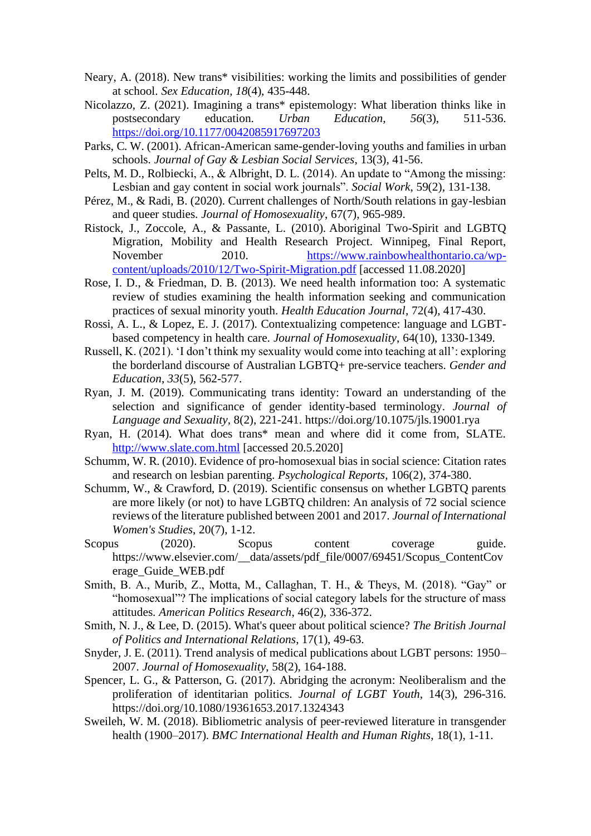- Neary, A. (2018). New trans\* visibilities: working the limits and possibilities of gender at school. *Sex Education*, *18*(4), 435-448.
- Nicolazzo, Z. (2021). Imagining a trans\* epistemology: What liberation thinks like in postsecondary education. *Urban Education, 56*(3), 511-536. <https://doi.org/10.1177/0042085917697203>
- Parks, C. W. (2001). African-American same-gender-loving youths and families in urban schools. *Journal of Gay & Lesbian Social Services*, 13(3), 41-56.
- Pelts, M. D., Rolbiecki, A., & Albright, D. L. (2014). An update to "Among the missing: Lesbian and gay content in social work journals". *Social Work*, 59(2), 131-138.
- Pérez, M., & Radi, B. (2020). Current challenges of North/South relations in gay-lesbian and queer studies. *Journal of Homosexuality*, 67(7), 965-989.
- Ristock, J., Zoccole, A., & Passante, L. (2010). Aboriginal Two-Spirit and LGBTQ Migration, Mobility and Health Research Project. Winnipeg, Final Report, November 2010. [https://www.rainbowhealthontario.ca/wp](https://www.rainbowhealthontario.ca/wp-content/uploads/2010/12/Two-Spirit-Migration.pdf)[content/uploads/2010/12/Two-Spirit-Migration.pdf](https://www.rainbowhealthontario.ca/wp-content/uploads/2010/12/Two-Spirit-Migration.pdf) [accessed 11.08.2020]
- Rose, I. D., & Friedman, D. B. (2013). We need health information too: A systematic review of studies examining the health information seeking and communication practices of sexual minority youth. *Health Education Journal*, 72(4), 417-430.
- Rossi, A. L., & Lopez, E. J. (2017). Contextualizing competence: language and LGBTbased competency in health care. *Journal of Homosexuality*, 64(10), 1330-1349.
- Russell, K. (2021). 'I don't think my sexuality would come into teaching at all': exploring the borderland discourse of Australian LGBTQ+ pre-service teachers. *Gender and Education*, *33*(5), 562-577.
- Ryan, J. M. (2019). Communicating trans identity: Toward an understanding of the selection and significance of gender identity-based terminology. *Journal of Language and Sexuality,* 8(2), 221-241. https://doi.org/10.1075/jls.19001.rya
- Ryan, H. (2014). What does trans\* mean and where did it come from, SLATE. [http://www.slate.com.html](http://www.slate.com.html/) [accessed 20.5.2020]
- Schumm, W. R. (2010). Evidence of pro-homosexual bias in social science: Citation rates and research on lesbian parenting. *Psychological Reports*, 106(2), 374-380.
- Schumm, W., & Crawford, D. (2019). Scientific consensus on whether LGBTQ parents are more likely (or not) to have LGBTQ children: An analysis of 72 social science reviews of the literature published between 2001 and 2017. *Journal of International Women's Studies*, 20(7), 1-12.
- Scopus (2020). Scopus content coverage guide. https://www.elsevier.com/\_\_data/assets/pdf\_file/0007/69451/Scopus\_ContentCov erage\_Guide\_WEB.pdf
- Smith, B. A., Murib, Z., Motta, M., Callaghan, T. H., & Theys, M. (2018). "Gay" or "homosexual"? The implications of social category labels for the structure of mass attitudes. *American Politics Research*, 46(2), 336-372.
- Smith, N. J., & Lee, D. (2015). What's queer about political science? *The British Journal of Politics and International Relations*, 17(1), 49-63.
- Snyder, J. E. (2011). Trend analysis of medical publications about LGBT persons: 1950– 2007. *Journal of Homosexuality*, 58(2), 164-188.
- Spencer, L. G., & Patterson, G. (2017). Abridging the acronym: Neoliberalism and the proliferation of identitarian politics. *Journal of LGBT Youth*, 14(3), 296-316. https://doi.org/10.1080/19361653.2017.1324343
- Sweileh, W. M. (2018). Bibliometric analysis of peer-reviewed literature in transgender health (1900–2017). *BMC International Health and Human Rights*, 18(1), 1-11.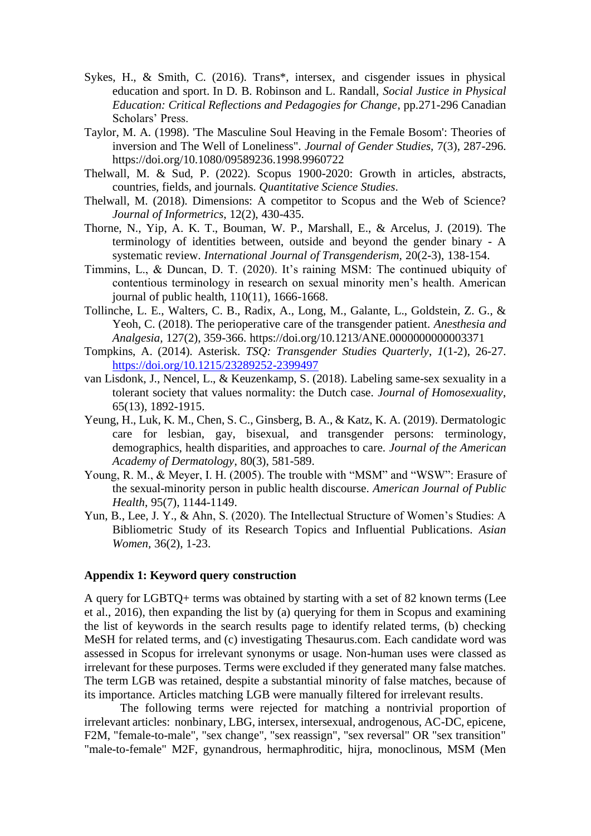- Sykes, H., & Smith, C. (2016). Trans\*, intersex, and cisgender issues in physical education and sport. In D. B. Robinson and L. Randall, *Social Justice in Physical Education: Critical Reflections and Pedagogies for Change*, pp.271-296 Canadian Scholars' Press.
- Taylor, M. A. (1998). 'The Masculine Soul Heaving in the Female Bosom': Theories of inversion and The Well of Loneliness". *Journal of Gender Studies,* 7(3), 287-296. https://doi.org/10.1080/09589236.1998.9960722
- Thelwall, M. & Sud, P. (2022). Scopus 1900-2020: Growth in articles, abstracts, countries, fields, and journals. *Quantitative Science Studies*.
- Thelwall, M. (2018). Dimensions: A competitor to Scopus and the Web of Science? *Journal of Informetrics*, 12(2), 430-435.
- Thorne, N., Yip, A. K. T., Bouman, W. P., Marshall, E., & Arcelus, J. (2019). The terminology of identities between, outside and beyond the gender binary - A systematic review. *International Journal of Transgenderism,* 20(2-3), 138-154.
- Timmins, L., & Duncan, D. T. (2020). It's raining MSM: The continued ubiquity of contentious terminology in research on sexual minority men's health. American journal of public health, 110(11), 1666-1668.
- Tollinche, L. E., Walters, C. B., Radix, A., Long, M., Galante, L., Goldstein, Z. G., & Yeoh, C. (2018). The perioperative care of the transgender patient. *Anesthesia and Analgesia,* 127(2), 359-366. https://doi.org/10.1213/ANE.0000000000003371
- Tompkins, A. (2014). Asterisk. *TSQ: Transgender Studies Quarterly*, *1*(1-2), 26-27. <https://doi.org/10.1215/23289252-2399497>
- van Lisdonk, J., Nencel, L., & Keuzenkamp, S. (2018). Labeling same-sex sexuality in a tolerant society that values normality: the Dutch case. *Journal of Homosexuality*, 65(13), 1892-1915.
- Yeung, H., Luk, K. M., Chen, S. C., Ginsberg, B. A., & Katz, K. A. (2019). Dermatologic care for lesbian, gay, bisexual, and transgender persons: terminology, demographics, health disparities, and approaches to care. *Journal of the American Academy of Dermatology*, 80(3), 581-589.
- Young, R. M., & Meyer, I. H. (2005). The trouble with "MSM" and "WSW": Erasure of the sexual-minority person in public health discourse. *American Journal of Public Health*, 95(7), 1144-1149.
- Yun, B., Lee, J. Y., & Ahn, S. (2020). The Intellectual Structure of Women's Studies: A Bibliometric Study of its Research Topics and Influential Publications. *Asian Women,* 36(2), 1-23.

## **Appendix 1: Keyword query construction**

A query for LGBTQ+ terms was obtained by starting with a set of 82 known terms (Lee et al., 2016), then expanding the list by (a) querying for them in Scopus and examining the list of keywords in the search results page to identify related terms, (b) checking MeSH for related terms, and (c) investigating Thesaurus.com. Each candidate word was assessed in Scopus for irrelevant synonyms or usage. Non-human uses were classed as irrelevant for these purposes. Terms were excluded if they generated many false matches. The term LGB was retained, despite a substantial minority of false matches, because of its importance. Articles matching LGB were manually filtered for irrelevant results.

The following terms were rejected for matching a nontrivial proportion of irrelevant articles: nonbinary, LBG, intersex, intersexual, androgenous, AC-DC, epicene, F2M, "female-to-male", "sex change", "sex reassign", "sex reversal" OR "sex transition" "male-to-female" M2F, gynandrous, hermaphroditic, hijra, monoclinous, MSM (Men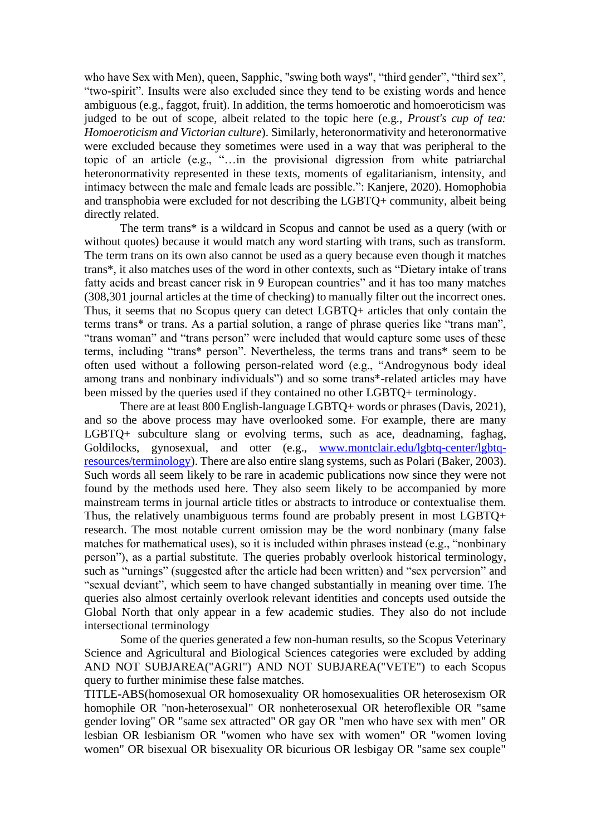who have Sex with Men), queen, Sapphic, "swing both ways", "third gender", "third sex", "two-spirit". Insults were also excluded since they tend to be existing words and hence ambiguous (e.g., faggot, fruit). In addition, the terms homoerotic and homoeroticism was judged to be out of scope, albeit related to the topic here (e.g., *Proust's cup of tea: Homoeroticism and Victorian culture*). Similarly, heteronormativity and heteronormative were excluded because they sometimes were used in a way that was peripheral to the topic of an article (e.g., "…in the provisional digression from white patriarchal heteronormativity represented in these texts, moments of egalitarianism, intensity, and intimacy between the male and female leads are possible.": Kanjere, 2020). Homophobia and transphobia were excluded for not describing the LGBTQ+ community, albeit being directly related.

The term trans\* is a wildcard in Scopus and cannot be used as a query (with or without quotes) because it would match any word starting with trans, such as transform. The term trans on its own also cannot be used as a query because even though it matches trans\*, it also matches uses of the word in other contexts, such as "Dietary intake of trans fatty acids and breast cancer risk in 9 European countries" and it has too many matches (308,301 journal articles at the time of checking) to manually filter out the incorrect ones. Thus, it seems that no Scopus query can detect LGBTQ+ articles that only contain the terms trans\* or trans. As a partial solution, a range of phrase queries like "trans man", "trans woman" and "trans person" were included that would capture some uses of these terms, including "trans\* person". Nevertheless, the terms trans and trans\* seem to be often used without a following person-related word (e.g., "Androgynous body ideal among trans and nonbinary individuals") and so some trans\*-related articles may have been missed by the queries used if they contained no other LGBTQ+ terminology.

There are at least 800 English-language LGBTQ+ words or phrases (Davis, 2021), and so the above process may have overlooked some. For example, there are many LGBTQ+ subculture slang or evolving terms, such as ace, deadnaming, faghag, Goldilocks, gynosexual, and otter (e.g., [www.montclair.edu/lgbtq-center/lgbtq](http://www.montclair.edu/lgbtq-center/lgbtq-resources/terminology)[resources/terminology\)](http://www.montclair.edu/lgbtq-center/lgbtq-resources/terminology). There are also entire slang systems, such as Polari (Baker, 2003). Such words all seem likely to be rare in academic publications now since they were not found by the methods used here. They also seem likely to be accompanied by more mainstream terms in journal article titles or abstracts to introduce or contextualise them. Thus, the relatively unambiguous terms found are probably present in most LGBTQ+ research. The most notable current omission may be the word nonbinary (many false matches for mathematical uses), so it is included within phrases instead (e.g., "nonbinary person"), as a partial substitute. The queries probably overlook historical terminology, such as "urnings" (suggested after the article had been written) and "sex perversion" and "sexual deviant", which seem to have changed substantially in meaning over time. The queries also almost certainly overlook relevant identities and concepts used outside the Global North that only appear in a few academic studies. They also do not include intersectional terminology

Some of the queries generated a few non-human results, so the Scopus Veterinary Science and Agricultural and Biological Sciences categories were excluded by adding AND NOT SUBJAREA("AGRI") AND NOT SUBJAREA("VETE") to each Scopus query to further minimise these false matches.

TITLE-ABS(homosexual OR homosexuality OR homosexualities OR heterosexism OR homophile OR "non-heterosexual" OR nonheterosexual OR heteroflexible OR "same gender loving" OR "same sex attracted" OR gay OR "men who have sex with men" OR lesbian OR lesbianism OR "women who have sex with women" OR "women loving women" OR bisexual OR bisexuality OR bicurious OR lesbigay OR "same sex couple"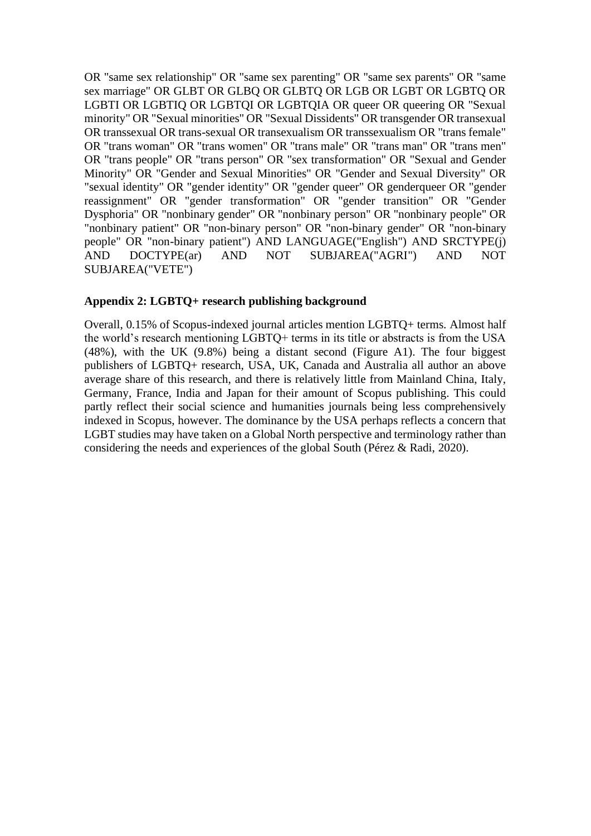OR "same sex relationship" OR "same sex parenting" OR "same sex parents" OR "same sex marriage" OR GLBT OR GLBQ OR GLBTQ OR LGB OR LGBT OR LGBTQ OR LGBTI OR LGBTIQ OR LGBTQI OR LGBTQIA OR queer OR queering OR "Sexual minority" OR "Sexual minorities" OR "Sexual Dissidents" OR transgender OR transexual OR transsexual OR trans-sexual OR transexualism OR transsexualism OR "trans female" OR "trans woman" OR "trans women" OR "trans male" OR "trans man" OR "trans men" OR "trans people" OR "trans person" OR "sex transformation" OR "Sexual and Gender Minority" OR "Gender and Sexual Minorities" OR "Gender and Sexual Diversity" OR "sexual identity" OR "gender identity" OR "gender queer" OR genderqueer OR "gender reassignment" OR "gender transformation" OR "gender transition" OR "Gender Dysphoria" OR "nonbinary gender" OR "nonbinary person" OR "nonbinary people" OR "nonbinary patient" OR "non-binary person" OR "non-binary gender" OR "non-binary people" OR "non-binary patient") AND LANGUAGE("English") AND SRCTYPE(j) AND DOCTYPE(ar) AND NOT SUBJAREA("AGRI") AND NOT SUBJAREA("VETE")

## **Appendix 2: LGBTQ+ research publishing background**

Overall, 0.15% of Scopus-indexed journal articles mention LGBTQ+ terms. Almost half the world's research mentioning LGBTQ+ terms in its title or abstracts is from the USA (48%), with the UK (9.8%) being a distant second (Figure A1). The four biggest publishers of LGBTQ+ research, USA, UK, Canada and Australia all author an above average share of this research, and there is relatively little from Mainland China, Italy, Germany, France, India and Japan for their amount of Scopus publishing. This could partly reflect their social science and humanities journals being less comprehensively indexed in Scopus, however. The dominance by the USA perhaps reflects a concern that LGBT studies may have taken on a Global North perspective and terminology rather than considering the needs and experiences of the global South (Pérez & Radi, 2020).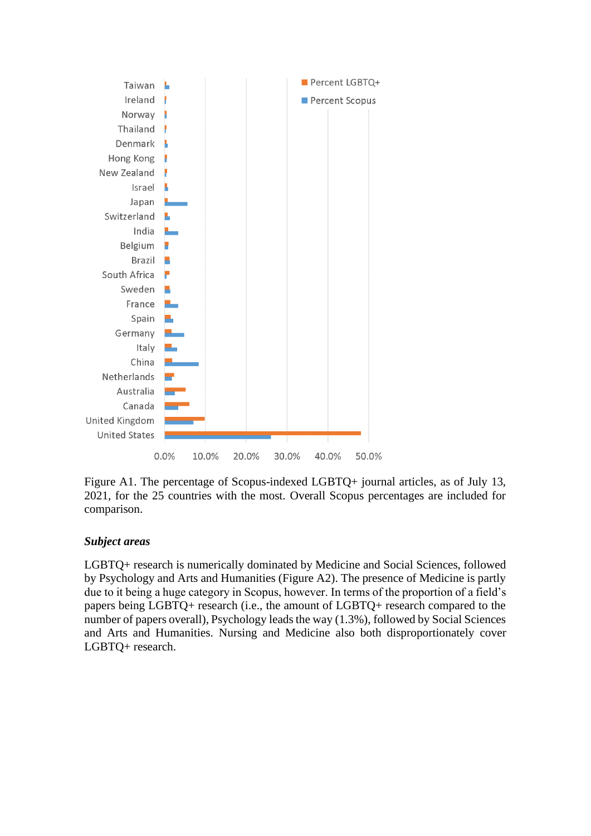

Figure A1. The percentage of Scopus-indexed LGBTQ+ journal articles, as of July 13, 2021, for the 25 countries with the most. Overall Scopus percentages are included for comparison.

## *Subject areas*

LGBTQ+ research is numerically dominated by Medicine and Social Sciences, followed by Psychology and Arts and Humanities (Figure A2). The presence of Medicine is partly due to it being a huge category in Scopus, however. In terms of the proportion of a field's papers being LGBTQ+ research (i.e., the amount of LGBTQ+ research compared to the number of papers overall), Psychology leads the way (1.3%), followed by Social Sciences and Arts and Humanities. Nursing and Medicine also both disproportionately cover LGBTQ+ research.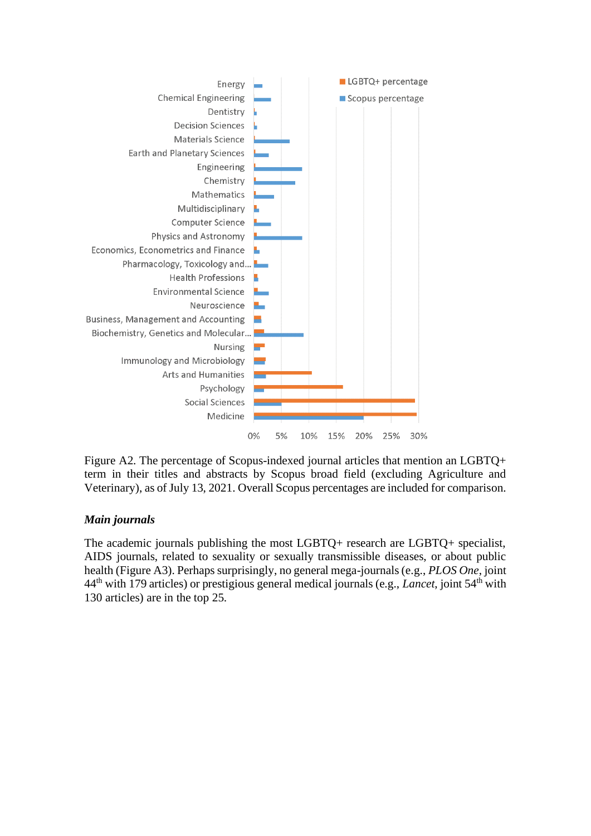

Figure A2. The percentage of Scopus-indexed journal articles that mention an LGBTQ+ term in their titles and abstracts by Scopus broad field (excluding Agriculture and Veterinary), as of July 13, 2021. Overall Scopus percentages are included for comparison.

## *Main journals*

The academic journals publishing the most LGBTQ+ research are LGBTQ+ specialist, AIDS journals, related to sexuality or sexually transmissible diseases, or about public health (Figure A3). Perhaps surprisingly, no general mega-journals (e.g., *PLOS One*, joint 44th with 179 articles) or prestigious general medical journals (e.g., *Lancet*, joint 54th with 130 articles) are in the top 25.